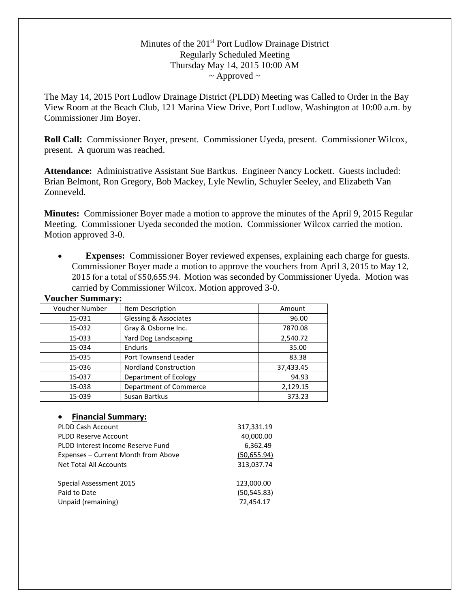# Minutes of the 201<sup>st</sup> Port Ludlow Drainage District Regularly Scheduled Meeting Thursday May 14, 2015 10:00 AM  $\sim$  Approved  $\sim$

The May 14, 2015 Port Ludlow Drainage District (PLDD) Meeting was Called to Order in the Bay View Room at the Beach Club, 121 Marina View Drive, Port Ludlow, Washington at 10:00 a.m. by Commissioner Jim Boyer.

**Roll Call:** Commissioner Boyer, present. Commissioner Uyeda, present. Commissioner Wilcox, present. A quorum was reached.

**Attendance:** Administrative Assistant Sue Bartkus. Engineer Nancy Lockett. Guests included: Brian Belmont, Ron Gregory, Bob Mackey, Lyle Newlin, Schuyler Seeley, and Elizabeth Van Zonneveld.

**Minutes:** Commissioner Boyer made a motion to approve the minutes of the April 9, 2015 Regular Meeting. Commissioner Uyeda seconded the motion. Commissioner Wilcox carried the motion. Motion approved 3-0.

• **Expenses:** Commissioner Boyer reviewed expenses, explaining each charge for guests. Commissioner Boyer made a motion to approve the vouchers from April 3, 2015 to May 12, 2015 for a total of \$50,655.94. Motion was seconded by Commissioner Uyeda. Motion was carried by Commissioner Wilcox. Motion approved 3-0.

| <b>Voucher Summary:</b> |                                  |           |
|-------------------------|----------------------------------|-----------|
| <b>Voucher Number</b>   | Item Description                 | Amount    |
| 15-031                  | <b>Glessing &amp; Associates</b> | 96.00     |
| 15-032                  | Gray & Osborne Inc.              | 7870.08   |
| 15-033                  | Yard Dog Landscaping             | 2,540.72  |
| 15-034                  | Enduris                          | 35.00     |
| 15-035                  | Port Townsend Leader             | 83.38     |
| 15-036                  | <b>Nordland Construction</b>     | 37,433.45 |
| 15-037                  | Department of Ecology            | 94.93     |
| 15-038                  | Department of Commerce           | 2,129.15  |
| 15-039                  | Susan Bartkus                    | 373.23    |

#### • **Financial Summary:**

| <b>PLDD Cash Account</b>            | 317,331.19   |
|-------------------------------------|--------------|
| <b>PLDD Reserve Account</b>         | 40,000.00    |
| PLDD Interest Income Reserve Fund   | 6,362.49     |
| Expenses – Current Month from Above | (50,655.94)  |
| <b>Net Total All Accounts</b>       | 313,037.74   |
| Special Assessment 2015             | 123,000.00   |
| Paid to Date                        | (50, 545.83) |
| Unpaid (remaining)                  | 72,454.17    |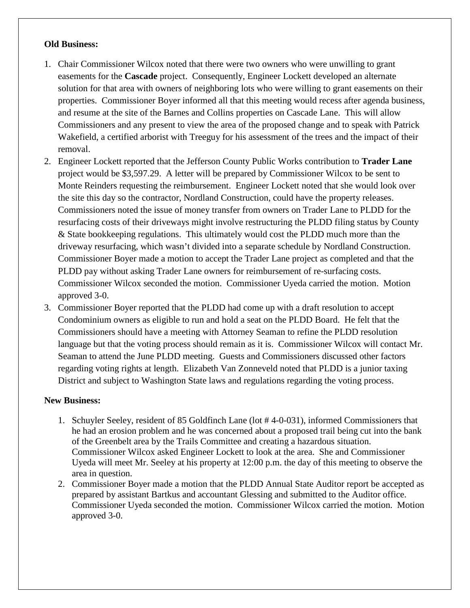## **Old Business:**

- 1. Chair Commissioner Wilcox noted that there were two owners who were unwilling to grant easements for the **Cascade** project. Consequently, Engineer Lockett developed an alternate solution for that area with owners of neighboring lots who were willing to grant easements on their properties. Commissioner Boyer informed all that this meeting would recess after agenda business, and resume at the site of the Barnes and Collins properties on Cascade Lane. This will allow Commissioners and any present to view the area of the proposed change and to speak with Patrick Wakefield, a certified arborist with Treeguy for his assessment of the trees and the impact of their removal.
- 2. Engineer Lockett reported that the Jefferson County Public Works contribution to **Trader Lane** project would be \$3,597.29. A letter will be prepared by Commissioner Wilcox to be sent to Monte Reinders requesting the reimbursement. Engineer Lockett noted that she would look over the site this day so the contractor, Nordland Construction, could have the property releases. Commissioners noted the issue of money transfer from owners on Trader Lane to PLDD for the resurfacing costs of their driveways might involve restructuring the PLDD filing status by County & State bookkeeping regulations. This ultimately would cost the PLDD much more than the driveway resurfacing, which wasn't divided into a separate schedule by Nordland Construction. Commissioner Boyer made a motion to accept the Trader Lane project as completed and that the PLDD pay without asking Trader Lane owners for reimbursement of re-surfacing costs. Commissioner Wilcox seconded the motion. Commissioner Uyeda carried the motion. Motion approved 3-0.
- 3. Commissioner Boyer reported that the PLDD had come up with a draft resolution to accept Condominium owners as eligible to run and hold a seat on the PLDD Board. He felt that the Commissioners should have a meeting with Attorney Seaman to refine the PLDD resolution language but that the voting process should remain as it is. Commissioner Wilcox will contact Mr. Seaman to attend the June PLDD meeting. Guests and Commissioners discussed other factors regarding voting rights at length. Elizabeth Van Zonneveld noted that PLDD is a junior taxing District and subject to Washington State laws and regulations regarding the voting process.

# **New Business:**

- 1. Schuyler Seeley, resident of 85 Goldfinch Lane (lot # 4-0-031), informed Commissioners that he had an erosion problem and he was concerned about a proposed trail being cut into the bank of the Greenbelt area by the Trails Committee and creating a hazardous situation. Commissioner Wilcox asked Engineer Lockett to look at the area. She and Commissioner Uyeda will meet Mr. Seeley at his property at 12:00 p.m. the day of this meeting to observe the area in question.
- 2. Commissioner Boyer made a motion that the PLDD Annual State Auditor report be accepted as prepared by assistant Bartkus and accountant Glessing and submitted to the Auditor office. Commissioner Uyeda seconded the motion. Commissioner Wilcox carried the motion. Motion approved 3-0.